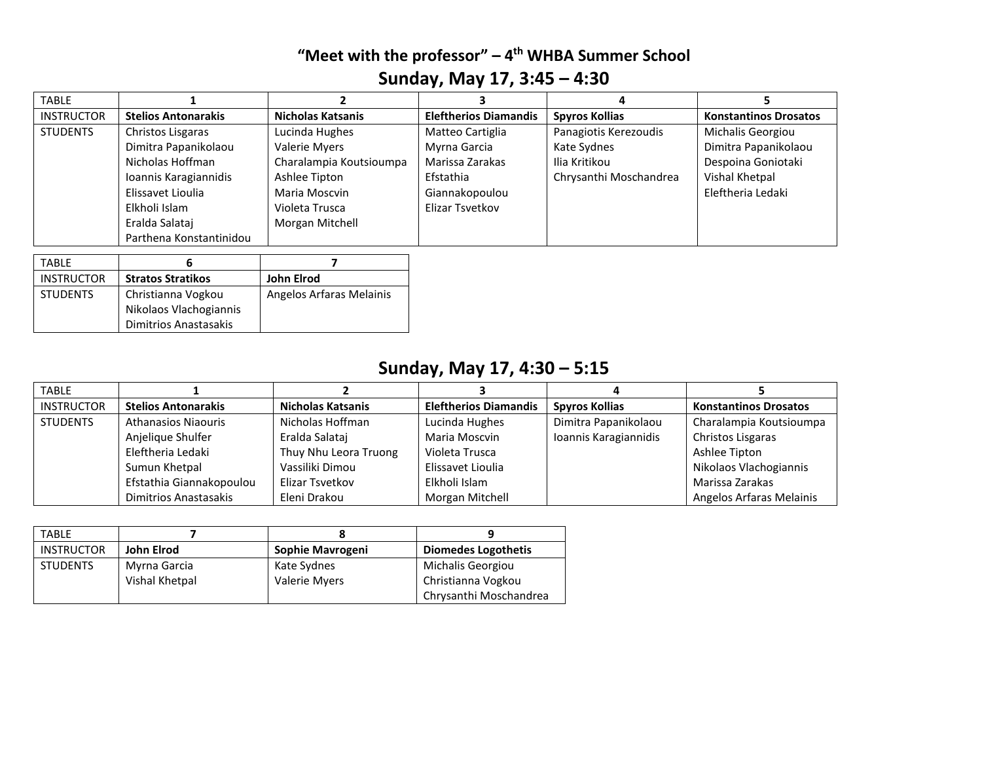#### **"Meet with the professor" – 4 th WHBA Summer School Sunday, May 17, 3:45 – 4:30**

| <b>TABLE</b>      |                            |                          |                              |                        |                              |
|-------------------|----------------------------|--------------------------|------------------------------|------------------------|------------------------------|
| <b>INSTRUCTOR</b> | <b>Stelios Antonarakis</b> | <b>Nicholas Katsanis</b> | <b>Eleftherios Diamandis</b> | <b>Spyros Kollias</b>  | <b>Konstantinos Drosatos</b> |
| <b>STUDENTS</b>   | Christos Lisgaras          | Lucinda Hughes           | Matteo Cartiglia             | Panagiotis Kerezoudis  | Michalis Georgiou            |
|                   | Dimitra Papanikolaou       | Valerie Myers            | Myrna Garcia                 | Kate Sydnes            | Dimitra Papanikolaou         |
|                   | Nicholas Hoffman           | Charalampia Koutsioumpa  | Marissa Zarakas              | Ilia Kritikou          | Despoina Goniotaki           |
|                   | Ioannis Karagiannidis      | Ashlee Tipton            | Efstathia                    | Chrysanthi Moschandrea | Vishal Khetpal               |
|                   | Elissavet Lioulia          | Maria Moscvin            | Giannakopoulou               |                        | Eleftheria Ledaki            |
|                   | Elkholi Islam              | Violeta Trusca           | Elizar Tsvetkov              |                        |                              |
|                   | Eralda Salatai             | Morgan Mitchell          |                              |                        |                              |
|                   | Parthena Konstantinidou    |                          |                              |                        |                              |
|                   |                            |                          |                              |                        |                              |

| TABLF             |                          |                          |
|-------------------|--------------------------|--------------------------|
| <b>INSTRUCTOR</b> | <b>Stratos Stratikos</b> | John Elrod               |
| <b>STUDENTS</b>   | Christianna Vogkou       | Angelos Arfaras Melainis |
|                   | Nikolaos Vlachogiannis   |                          |
|                   | Dimitrios Anastasakis    |                          |

# **Sunday, May 17, 4:30 – 5:15**

| <b>TABLE</b>      |                            |                       |                              |                       |                              |
|-------------------|----------------------------|-----------------------|------------------------------|-----------------------|------------------------------|
| <b>INSTRUCTOR</b> | <b>Stelios Antonarakis</b> | Nicholas Katsanis     | <b>Eleftherios Diamandis</b> | <b>Spyros Kollias</b> | <b>Konstantinos Drosatos</b> |
| <b>STUDENTS</b>   | Athanasios Niaouris        | Nicholas Hoffman      | Lucinda Hughes               | Dimitra Papanikolaou  | Charalampia Koutsioumpa      |
|                   | Anjelique Shulfer          | Eralda Salataj        | Maria Moscvin                | Ioannis Karagiannidis | Christos Lisgaras            |
|                   | Eleftheria Ledaki          | Thuy Nhu Leora Truong | Violeta Trusca               |                       | Ashlee Tipton                |
|                   | Sumun Khetpal              | Vassiliki Dimou       | Elissavet Lioulia            |                       | Nikolaos Vlachogiannis       |
|                   | Efstathia Giannakopoulou   | Elizar Tsvetkov       | Elkholi Islam                |                       | Marissa Zarakas              |
|                   | Dimitrios Anastasakis      | Eleni Drakou          | Morgan Mitchell              |                       | Angelos Arfaras Melainis     |

| <b>TABLE</b>      |                |                  |                            |
|-------------------|----------------|------------------|----------------------------|
| <b>INSTRUCTOR</b> | John Elrod     | Sophie Mavrogeni | <b>Diomedes Logothetis</b> |
| <b>STUDENTS</b>   | Myrna Garcia   | Kate Sydnes      | Michalis Georgiou          |
|                   | Vishal Khetpal | Valerie Myers    | Christianna Vogkou         |
|                   |                |                  | Chrysanthi Moschandrea     |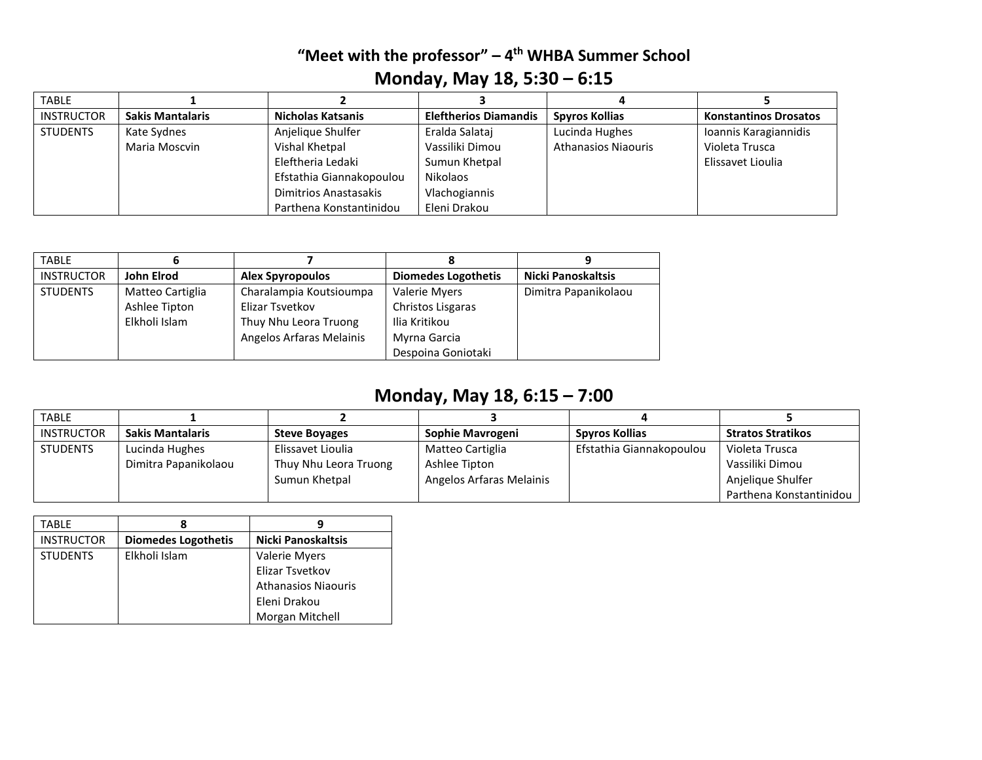### **"Meet with the professor" – 4 th WHBA Summer School Monday, May 18, 5:30 – 6:15**

| <b>TABLE</b>      |                         |                          |                              |                            |                              |
|-------------------|-------------------------|--------------------------|------------------------------|----------------------------|------------------------------|
| <b>INSTRUCTOR</b> | <b>Sakis Mantalaris</b> | Nicholas Katsanis        | <b>Eleftherios Diamandis</b> | <b>Spyros Kollias</b>      | <b>Konstantinos Drosatos</b> |
| <b>STUDENTS</b>   | Kate Sydnes             | Anjelique Shulfer        | Eralda Salataj               | Lucinda Hughes             | Ioannis Karagiannidis        |
|                   | Maria Moscvin           | Vishal Khetpal           | Vassiliki Dimou              | <b>Athanasios Niaouris</b> | Violeta Trusca               |
|                   |                         | Eleftheria Ledaki        | Sumun Khetpal                |                            | Elissavet Lioulia            |
|                   |                         | Efstathia Giannakopoulou | <b>Nikolaos</b>              |                            |                              |
|                   |                         | Dimitrios Anastasakis    | Vlachogiannis                |                            |                              |
|                   |                         | Parthena Konstantinidou  | Eleni Drakou                 |                            |                              |

| <b>TABLE</b>      |                  |                          |                            |                           |
|-------------------|------------------|--------------------------|----------------------------|---------------------------|
| <b>INSTRUCTOR</b> | John Elrod       | <b>Alex Spyropoulos</b>  | <b>Diomedes Logothetis</b> | <b>Nicki Panoskaltsis</b> |
| <b>STUDENTS</b>   | Matteo Cartiglia | Charalampia Koutsioumpa  | Valerie Myers              | Dimitra Papanikolaou      |
|                   | Ashlee Tipton    | Elizar Tsvetkov          | Christos Lisgaras          |                           |
|                   | Elkholi Islam    | Thuy Nhu Leora Truong    | Ilia Kritikou              |                           |
|                   |                  | Angelos Arfaras Melainis | Myrna Garcia               |                           |
|                   |                  |                          | Despoina Goniotaki         |                           |

## **Monday, May 18, 6:15 – 7:00**

| <b>TABLE</b>      |                         |                       |                          |                          |                          |
|-------------------|-------------------------|-----------------------|--------------------------|--------------------------|--------------------------|
| <b>INSTRUCTOR</b> | <b>Sakis Mantalaris</b> | <b>Steve Boyages</b>  | Sophie Mavrogeni         | Spyros Kollias           | <b>Stratos Stratikos</b> |
| <b>STUDENTS</b>   | Lucinda Hughes          | Elissavet Lioulia     | Matteo Cartiglia         | Efstathia Giannakopoulou | Violeta Trusca           |
|                   | Dimitra Papanikolaou    | Thuy Nhu Leora Truong | Ashlee Tipton            |                          | Vassiliki Dimou          |
|                   |                         | Sumun Khetpal         | Angelos Arfaras Melainis |                          | Anjelique Shulfer        |
|                   |                         |                       |                          |                          | Parthena Konstantinidou  |

| TABLE             |                            |                            |
|-------------------|----------------------------|----------------------------|
| <b>INSTRUCTOR</b> | <b>Diomedes Logothetis</b> | <b>Nicki Panoskaltsis</b>  |
| <b>STUDENTS</b>   | Elkholi Islam              | <b>Valerie Myers</b>       |
|                   |                            | Elizar Tsvetkov            |
|                   |                            | <b>Athanasios Niaouris</b> |
|                   |                            | Eleni Drakou               |
|                   |                            | Morgan Mitchell            |